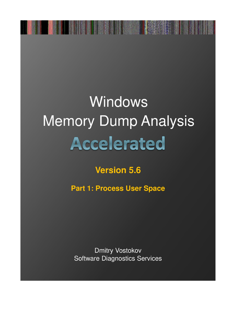## Windows **Memory Dump Analysis** Accelerated

## **Version 5.6**

**Part 1: Process User Space** 

**Dmitry Vostokov Software Diagnostics Services**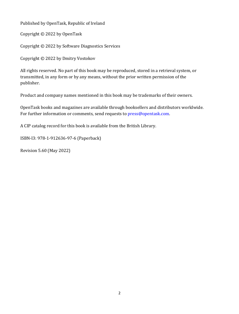Published by OpenTask, Republic of Ireland

Copyright © 2022 by OpenTask

Copyright © 2022 by Software Diagnostics Services

Copyright © 2022 by Dmitry Vostokov

All rights reserved. No part of this book may be reproduced, stored in a retrieval system, or transmitted, in any form or by any means, without the prior written permission of the publisher.

Product and company names mentioned in this book may be trademarks of their owners.

OpenTask books and magazines are available through booksellers and distributors worldwide. For further information or comments, send requests to press@opentask.com.

A CIP catalog record for this book is available from the British Library.

ISBN-l3: 978-1-912636-97-6 (Paperback)

Revision 5.60 (May 2022)